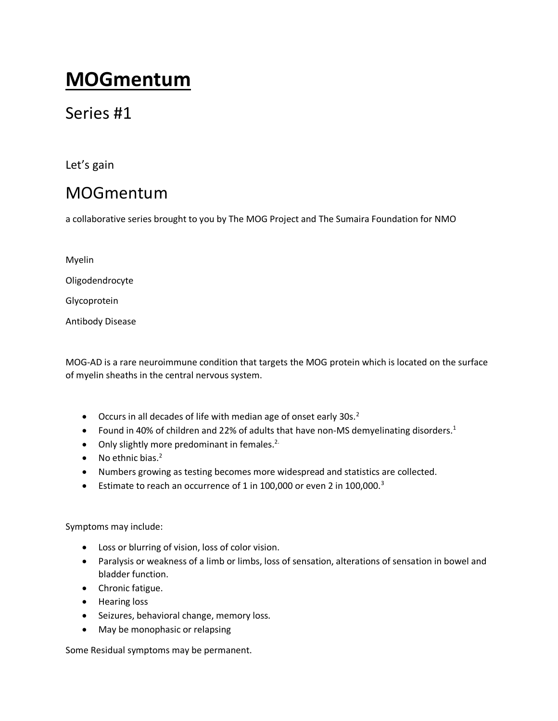# **MOGmentum**

## Series #1

Let's gain

# MOGmentum

a collaborative series brought to you by The MOG Project and The Sumaira Foundation for NMO

| Myelin                  |
|-------------------------|
| Oligodendrocyte         |
| Glycoprotein            |
| <b>Antibody Disease</b> |

MOG-AD is a rare neuroimmune condition that targets the MOG protein which is located on the surface of myelin sheaths in the central nervous system.

- $\bullet$  Occurs in all decades of life with median age of onset early 30s.<sup>2</sup>
- Found in 40% of children and 22% of adults that have non-MS demyelinating disorders.<sup>1</sup>
- $\bullet$  Only slightly more predominant in females.<sup>2.</sup>
- $\bullet$  No ethnic bias.<sup>2</sup>
- Numbers growing as testing becomes more widespread and statistics are collected.
- Estimate to reach an occurrence of 1 in 100,000 or even 2 in 100,000. $3$

### Symptoms may include:

- Loss or blurring of vision, loss of color vision.
- Paralysis or weakness of a limb or limbs, loss of sensation, alterations of sensation in bowel and bladder function.
- Chronic fatigue.
- Hearing loss
- Seizures, behavioral change, memory loss.
- May be monophasic or relapsing

Some Residual symptoms may be permanent.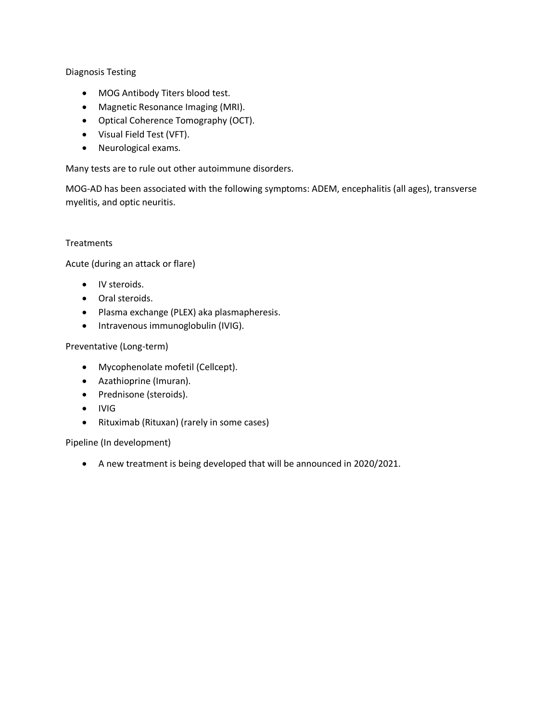Diagnosis Testing

- MOG Antibody Titers blood test.
- Magnetic Resonance Imaging (MRI).
- Optical Coherence Tomography (OCT).
- Visual Field Test (VFT).
- Neurological exams.

Many tests are to rule out other autoimmune disorders.

MOG-AD has been associated with the following symptoms: ADEM, encephalitis (all ages), transverse myelitis, and optic neuritis.

### **Treatments**

Acute (during an attack or flare)

- **.** IV steroids.
- Oral steroids.
- Plasma exchange (PLEX) aka plasmapheresis.
- Intravenous immunoglobulin (IVIG).

#### Preventative (Long-term)

- Mycophenolate mofetil (Cellcept).
- Azathioprine (Imuran).
- Prednisone (steroids).
- IVIG
- Rituximab (Rituxan) (rarely in some cases)

Pipeline (In development)

A new treatment is being developed that will be announced in 2020/2021.